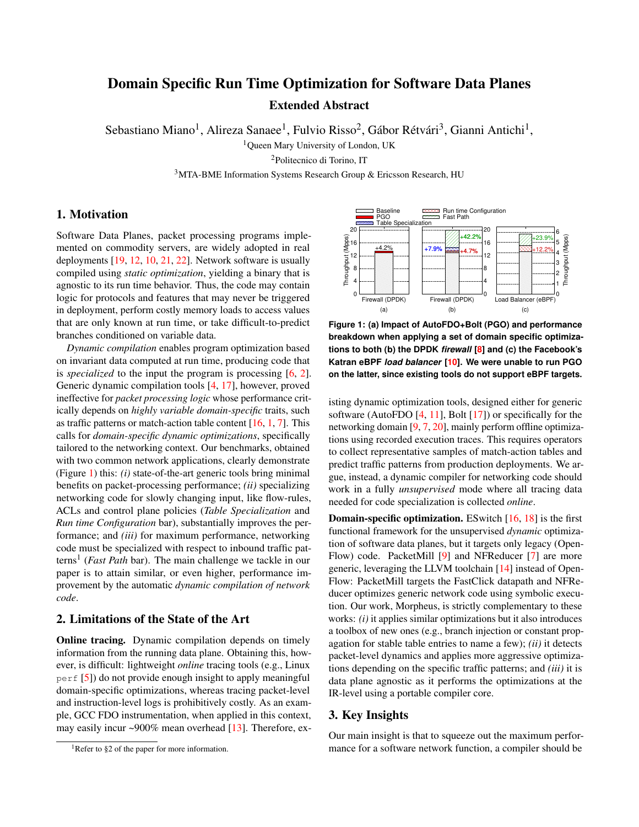# Domain Specific Run Time Optimization for Software Data Planes Extended Abstract

Sebastiano Miano<sup>1</sup>, Alireza Sanaee<sup>1</sup>, Fulvio Risso<sup>2</sup>, Gábor Rétvári<sup>3</sup>, Gianni Antichi<sup>1</sup>,

<sup>1</sup>Queen Mary University of London, UK

<sup>2</sup>Politecnico di Torino, IT

 $3$ MTA-BME Information Systems Research Group & Ericsson Research, HU

## 1. Motivation

Software Data Planes, packet processing programs implemented on commodity servers, are widely adopted in real deployments [\[19,](#page-2-0) [12,](#page-2-1) [10,](#page-2-2) [21,](#page-2-3) [22\]](#page-2-4). Network software is usually compiled using *static optimization*, yielding a binary that is agnostic to its run time behavior. Thus, the code may contain logic for protocols and features that may never be triggered in deployment, perform costly memory loads to access values that are only known at run time, or take difficult-to-predict branches conditioned on variable data.

*Dynamic compilation* enables program optimization based on invariant data computed at run time, producing code that is *specialized* to the input the program is processing [\[6,](#page-2-5) [2\]](#page-2-6). Generic dynamic compilation tools [\[4,](#page-2-7) [17\]](#page-2-8), however, proved ineffective for *packet processing logic* whose performance critically depends on *highly variable domain-specific* traits, such as traffic patterns or match-action table content [\[16,](#page-2-9) [1,](#page-2-10) [7\]](#page-2-11). This calls for *domain-specific dynamic optimizations*, specifically tailored to the networking context. Our benchmarks, obtained with two common network applications, clearly demonstrate (Figure [1\)](#page-0-0) this: *(i)* state-of-the-art generic tools bring minimal benefits on packet-processing performance; *(ii)* specializing networking code for slowly changing input, like flow-rules, ACLs and control plane policies (*Table Specialization* and *Run time Configuration* bar), substantially improves the performance; and *(iii)* for maximum performance, networking code must be specialized with respect to inbound traffic patterns<sup>1</sup> (*Fast Path* bar). The main challenge we tackle in our paper is to attain similar, or even higher, performance improvement by the automatic *dynamic compilation of network code*.

## 2. Limitations of the State of the Art

Online tracing. Dynamic compilation depends on timely information from the running data plane. Obtaining this, however, is difficult: lightweight *online* tracing tools (e.g., Linux perf [\[5\]](#page-2-12)) do not provide enough insight to apply meaningful domain-specific optimizations, whereas tracing packet-level and instruction-level logs is prohibitively costly. As an example, GCC FDO instrumentation, when applied in this context, may easily incur ~900% mean overhead [\[13\]](#page-2-13). Therefore, ex-

<span id="page-0-0"></span>

**Figure 1: (a) Impact of AutoFDO+Bolt (PGO) and performance breakdown when applying a set of domain specific optimizations to both (b) the DPDK** *firewall* **[\[8\]](#page-2-14) and (c) the Facebook's Katran eBPF** *load balancer* **[\[10\]](#page-2-2). We were unable to run PGO on the latter, since existing tools do not support eBPF targets.**

isting dynamic optimization tools, designed either for generic software (AutoFDO  $[4, 11]$  $[4, 11]$  $[4, 11]$ , Bolt  $[17]$ ) or specifically for the networking domain [\[9,](#page-2-16) [7,](#page-2-11) [20\]](#page-2-17), mainly perform offline optimizations using recorded execution traces. This requires operators to collect representative samples of match-action tables and predict traffic patterns from production deployments. We argue, instead, a dynamic compiler for networking code should work in a fully *unsupervised* mode where all tracing data needed for code specialization is collected *online*.

**Domain-specific optimization.** ESwitch  $[16, 18]$  $[16, 18]$  $[16, 18]$  is the first functional framework for the unsupervised *dynamic* optimization of software data planes, but it targets only legacy (Open-Flow) code. PacketMill [\[9\]](#page-2-16) and NFReducer [\[7\]](#page-2-11) are more generic, leveraging the LLVM toolchain [\[14\]](#page-2-19) instead of Open-Flow: PacketMill targets the FastClick datapath and NFReducer optimizes generic network code using symbolic execution. Our work, Morpheus, is strictly complementary to these works: *(i)* it applies similar optimizations but it also introduces a toolbox of new ones (e.g., branch injection or constant propagation for stable table entries to name a few); *(ii)* it detects packet-level dynamics and applies more aggressive optimizations depending on the specific traffic patterns; and *(iii)* it is data plane agnostic as it performs the optimizations at the IR-level using a portable compiler core.

#### 3. Key Insights

Our main insight is that to squeeze out the maximum performance for a software network function, a compiler should be

<sup>&</sup>lt;sup>1</sup>Refer to §2 of the paper for more information.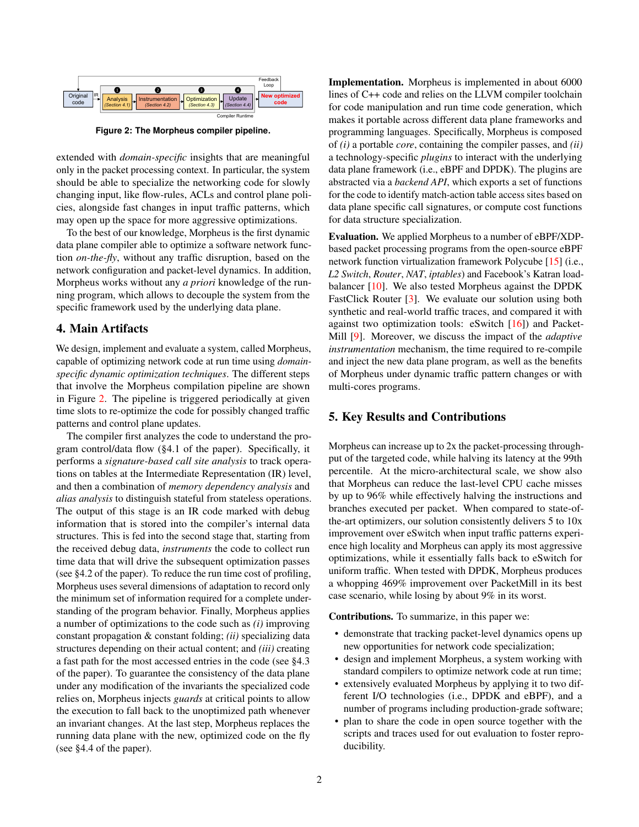<span id="page-1-0"></span>

**Figure 2: The Morpheus compiler pipeline.**

extended with *domain-specific* insights that are meaningful only in the packet processing context. In particular, the system should be able to specialize the networking code for slowly changing input, like flow-rules, ACLs and control plane policies, alongside fast changes in input traffic patterns, which may open up the space for more aggressive optimizations.

To the best of our knowledge, Morpheus is the first dynamic data plane compiler able to optimize a software network function *on-the-fly*, without any traffic disruption, based on the network configuration and packet-level dynamics. In addition, Morpheus works without any *a priori* knowledge of the running program, which allows to decouple the system from the specific framework used by the underlying data plane.

#### 4. Main Artifacts

We design, implement and evaluate a system, called Morpheus, capable of optimizing network code at run time using *domainspecific dynamic optimization techniques*. The different steps that involve the Morpheus compilation pipeline are shown in Figure [2.](#page-1-0) The pipeline is triggered periodically at given time slots to re-optimize the code for possibly changed traffic patterns and control plane updates.

The compiler first analyzes the code to understand the program control/data flow (§4.1 of the paper). Specifically, it performs a *signature-based call site analysis* to track operations on tables at the Intermediate Representation (IR) level, and then a combination of *memory dependency analysis* and *alias analysis* to distinguish stateful from stateless operations. The output of this stage is an IR code marked with debug information that is stored into the compiler's internal data structures. This is fed into the second stage that, starting from the received debug data, *instruments* the code to collect run time data that will drive the subsequent optimization passes (see §4.2 of the paper). To reduce the run time cost of profiling, Morpheus uses several dimensions of adaptation to record only the minimum set of information required for a complete understanding of the program behavior. Finally, Morpheus applies a number of optimizations to the code such as *(i)* improving constant propagation & constant folding; *(ii)* specializing data structures depending on their actual content; and *(iii)* creating a fast path for the most accessed entries in the code (see §4.3 of the paper). To guarantee the consistency of the data plane under any modification of the invariants the specialized code relies on, Morpheus injects *guards* at critical points to allow the execution to fall back to the unoptimized path whenever an invariant changes. At the last step, Morpheus replaces the running data plane with the new, optimized code on the fly (see §4.4 of the paper).

Implementation. Morpheus is implemented in about 6000 lines of C++ code and relies on the LLVM compiler toolchain for code manipulation and run time code generation, which makes it portable across different data plane frameworks and programming languages. Specifically, Morpheus is composed of *(i)* a portable *core*, containing the compiler passes, and *(ii)* a technology-specific *plugins* to interact with the underlying data plane framework (i.e., eBPF and DPDK). The plugins are abstracted via a *backend API*, which exports a set of functions for the code to identify match-action table access sites based on data plane specific call signatures, or compute cost functions for data structure specialization.

Evaluation. We applied Morpheus to a number of eBPF/XDPbased packet processing programs from the open-source eBPF network function virtualization framework Polycube [\[15\]](#page-2-20) (i.e., *L2 Switch*, *Router*, *NAT*, *iptables*) and Facebook's Katran loadbalancer [\[10\]](#page-2-2). We also tested Morpheus against the DPDK FastClick Router [\[3\]](#page-2-21). We evaluate our solution using both synthetic and real-world traffic traces, and compared it with against two optimization tools: eSwitch [\[16\]](#page-2-9)) and Packet-Mill [\[9\]](#page-2-16). Moreover, we discuss the impact of the *adaptive instrumentation* mechanism, the time required to re-compile and inject the new data plane program, as well as the benefits of Morpheus under dynamic traffic pattern changes or with multi-cores programs.

### 5. Key Results and Contributions

Morpheus can increase up to 2x the packet-processing throughput of the targeted code, while halving its latency at the 99th percentile. At the micro-architectural scale, we show also that Morpheus can reduce the last-level CPU cache misses by up to 96% while effectively halving the instructions and branches executed per packet. When compared to state-ofthe-art optimizers, our solution consistently delivers 5 to 10x improvement over eSwitch when input traffic patterns experience high locality and Morpheus can apply its most aggressive optimizations, while it essentially falls back to eSwitch for uniform traffic. When tested with DPDK, Morpheus produces a whopping 469% improvement over PacketMill in its best case scenario, while losing by about 9% in its worst.

Contributions. To summarize, in this paper we:

- demonstrate that tracking packet-level dynamics opens up new opportunities for network code specialization;
- design and implement Morpheus, a system working with standard compilers to optimize network code at run time;
- extensively evaluated Morpheus by applying it to two different I/O technologies (i.e., DPDK and eBPF), and a number of programs including production-grade software;
- plan to share the code in open source together with the scripts and traces used for out evaluation to foster reproducibility.